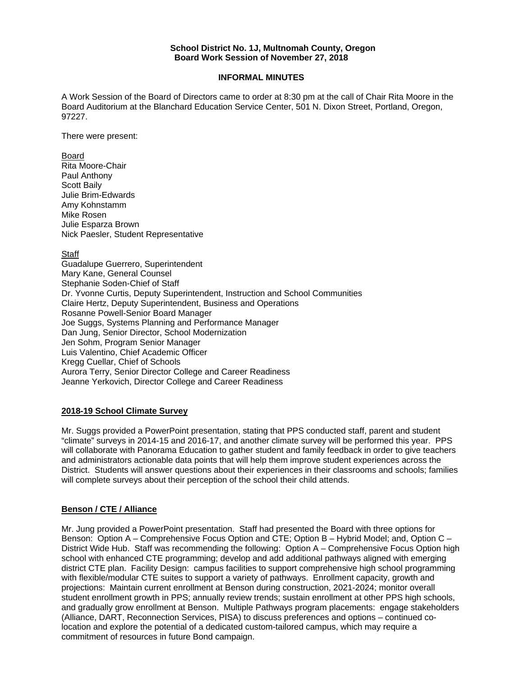#### **School District No. 1J, Multnomah County, Oregon Board Work Session of November 27, 2018**

### **INFORMAL MINUTES**

A Work Session of the Board of Directors came to order at 8:30 pm at the call of Chair Rita Moore in the Board Auditorium at the Blanchard Education Service Center, 501 N. Dixon Street, Portland, Oregon, 97227.

There were present:

### Board

Rita Moore-Chair Paul Anthony Scott Baily Julie Brim-Edwards Amy Kohnstamm Mike Rosen Julie Esparza Brown Nick Paesler, Student Representative

# Staff

Guadalupe Guerrero, Superintendent Mary Kane, General Counsel Stephanie Soden-Chief of Staff Dr. Yvonne Curtis, Deputy Superintendent, Instruction and School Communities Claire Hertz, Deputy Superintendent, Business and Operations Rosanne Powell-Senior Board Manager Joe Suggs, Systems Planning and Performance Manager Dan Jung, Senior Director, School Modernization Jen Sohm, Program Senior Manager Luis Valentino, Chief Academic Officer Kregg Cuellar, Chief of Schools Aurora Terry, Senior Director College and Career Readiness Jeanne Yerkovich, Director College and Career Readiness

# **2018-19 School Climate Survey**

Mr. Suggs provided a PowerPoint presentation, stating that PPS conducted staff, parent and student "climate" surveys in 2014-15 and 2016-17, and another climate survey will be performed this year. PPS will collaborate with Panorama Education to gather student and family feedback in order to give teachers and administrators actionable data points that will help them improve student experiences across the District. Students will answer questions about their experiences in their classrooms and schools; families will complete surveys about their perception of the school their child attends.

# **Benson / CTE / Alliance**

Mr. Jung provided a PowerPoint presentation. Staff had presented the Board with three options for Benson: Option A – Comprehensive Focus Option and CTE; Option B – Hybrid Model; and, Option C – District Wide Hub. Staff was recommending the following: Option A – Comprehensive Focus Option high school with enhanced CTE programming; develop and add additional pathways aligned with emerging district CTE plan. Facility Design: campus facilities to support comprehensive high school programming with flexible/modular CTE suites to support a variety of pathways. Enrollment capacity, growth and projections: Maintain current enrollment at Benson during construction, 2021-2024; monitor overall student enrollment growth in PPS; annually review trends; sustain enrollment at other PPS high schools, and gradually grow enrollment at Benson. Multiple Pathways program placements: engage stakeholders (Alliance, DART, Reconnection Services, PISA) to discuss preferences and options – continued colocation and explore the potential of a dedicated custom-tailored campus, which may require a commitment of resources in future Bond campaign.